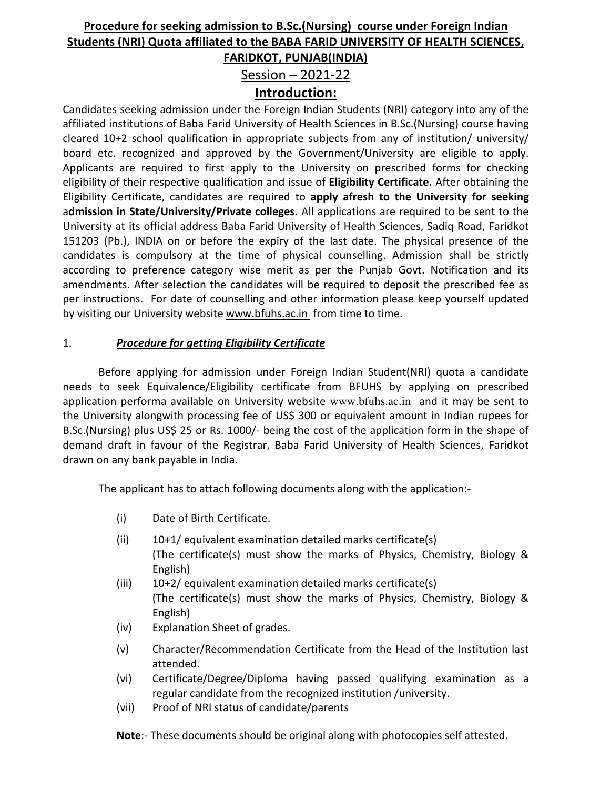# **Procedure for seeking admission to B.Sc.(Nursing) course under Foreign Indian Students (NRI) Quota affiliated to the BABA FARID UNIVERSITY OF HEALTH SCIENCES, FARIDKOT, PUNJAB(INDIA)**

Session – 2021-22

### **Introduction:**

Candidates seeking admission under the Foreign Indian Students (NRI) category into any of the affiliated institutions of Baba Farid University of Health Sciences in B.Sc.(Nursing) course having cleared 10+2 school qualification in appropriate subjects from any of institution/ university/ board etc. recognized and approved by the Government/University are eligible to apply. Applicants are required to first apply to the University on prescribed forms for checking eligibility of their respective qualification and issue of **Eligibility Certificate.** After obtaining the Eligibility Certificate, candidates are required to **apply afresh to the University for seeking** a**dmission in State/University/Private colleges.** All applications are required to be sent to the University at its official address Baba Farid University of Health Sciences, Sadiq Road, Faridkot 151203 (Pb.), INDIA on or before the expiry of the last date. The physical presence of the candidates is compulsory at the time of physical counselling. Admission shall be strictly according to preference category wise merit as per the Punjab Govt. Notification and its amendments. After selection the candidates will be required to deposit the prescribed fee as per instructions. For date of counselling and other information please keep yourself updated by visiting our University website www.bfuhs.ac.in from time to time.

### 1. *Procedure for getting Eligibility Certificate*

 Before applying for admission under Foreign Indian Student(NRI) quota a candidate needs to seek Equivalence/Eligibility certificate from BFUHS by applying on prescribed application performa available on University website www.bfuhs.ac.in and it may be sent to the University alongwith processing fee of US\$ 300 or equivalent amount in Indian rupees for B.Sc.(Nursing) plus US\$ 25 or Rs. 1000/- being the cost of the application form in the shape of demand draft in favour of the Registrar, Baba Farid University of Health Sciences, Faridkot drawn on any bank payable in India.

The applicant has to attach following documents along with the application:-

- (i) Date of Birth Certificate.
- $(ii)$  10+1/ equivalent examination detailed marks certificate(s) (The certificate(s) must show the marks of Physics, Chemistry, Biology & English)
- $(iii)$  10+2/ equivalent examination detailed marks certificate(s) (The certificate(s) must show the marks of Physics, Chemistry, Biology & English)
- (iv) Explanation Sheet of grades.
- (v) Character/Recommendation Certificate from the Head of the Institution last attended.
- (vi) Certificate/Degree/Diploma having passed qualifying examination as a regular candidate from the recognized institution /university.
- (vii) Proof of NRI status of candidate/parents

**Note**:- These documents should be original along with photocopies self attested.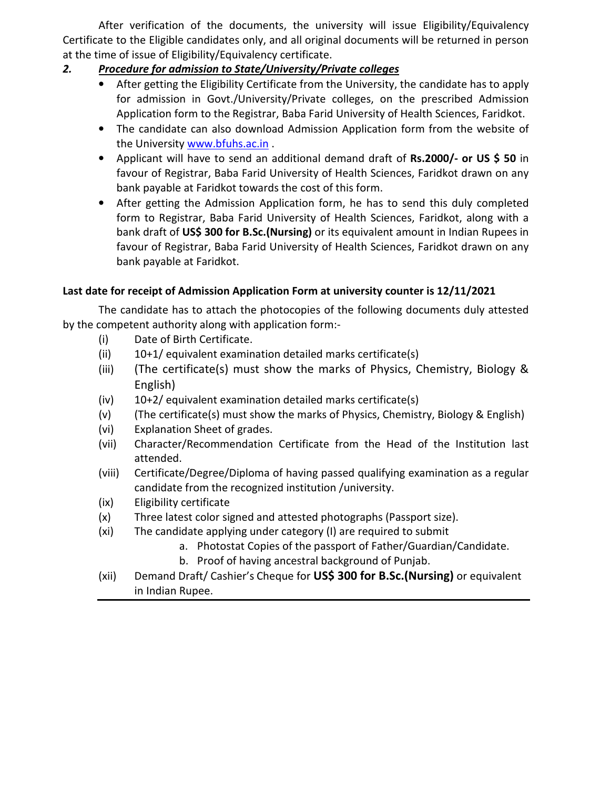After verification of the documents, the university will issue Eligibility/Equivalency Certificate to the Eligible candidates only, and all original documents will be returned in person at the time of issue of Eligibility/Equivalency certificate.

### *2. Procedure for admission to State/University/Private colleges*

- After getting the Eligibility Certificate from the University, the candidate has to apply for admission in Govt./University/Private colleges, on the prescribed Admission Application form to the Registrar, Baba Farid University of Health Sciences, Faridkot.
- The candidate can also download Admission Application form from the website of the University www.bfuhs.ac.in .
- Applicant will have to send an additional demand draft of **Rs.2000/- or US \$ 50** in favour of Registrar, Baba Farid University of Health Sciences, Faridkot drawn on any bank payable at Faridkot towards the cost of this form.
- After getting the Admission Application form, he has to send this duly completed form to Registrar, Baba Farid University of Health Sciences, Faridkot, along with a bank draft of **US\$ 300 for B.Sc.(Nursing)** or its equivalent amount in Indian Rupees in favour of Registrar, Baba Farid University of Health Sciences, Faridkot drawn on any bank payable at Faridkot.

### **Last date for receipt of Admission Application Form at university counter is 12/11/2021**

The candidate has to attach the photocopies of the following documents duly attested by the competent authority along with application form:-

- (i) Date of Birth Certificate.
- (ii) 10+1/ equivalent examination detailed marks certificate(s)
- (iii) (The certificate(s) must show the marks of Physics, Chemistry, Biology & English)
- (iv) 10+2/ equivalent examination detailed marks certificate(s)
- (v) (The certificate(s) must show the marks of Physics, Chemistry, Biology & English)
- (vi) Explanation Sheet of grades.
- (vii) Character/Recommendation Certificate from the Head of the Institution last attended.
- (viii) Certificate/Degree/Diploma of having passed qualifying examination as a regular candidate from the recognized institution /university.
- (ix) Eligibility certificate
- (x) Three latest color signed and attested photographs (Passport size).
- (xi) The candidate applying under category (I) are required to submit
	- a. Photostat Copies of the passport of Father/Guardian/Candidate.
	- b. Proof of having ancestral background of Punjab.
- (xii) Demand Draft/ Cashier's Cheque for **US\$ 300 for B.Sc.(Nursing)** or equivalent in Indian Rupee.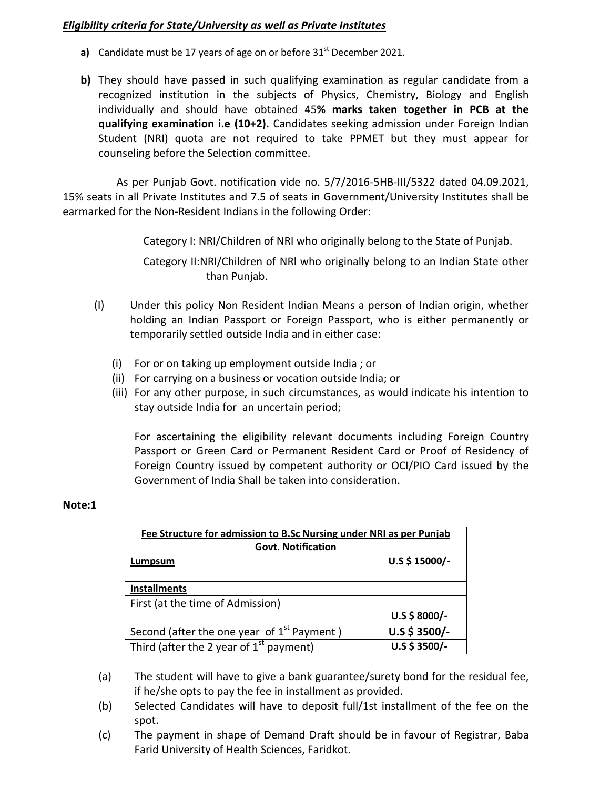#### *Eligibility criteria for State/University as well as Private Institutes*

- **a)** Candidate must be 17 years of age on or before 31<sup>st</sup> December 2021.
- **b)** They should have passed in such qualifying examination as regular candidate from a recognized institution in the subjects of Physics, Chemistry, Biology and English individually and should have obtained 45**% marks taken together in PCB at the qualifying examination i.e (10+2).** Candidates seeking admission under Foreign Indian Student (NRI) quota are not required to take PPMET but they must appear for counseling before the Selection committee.

As per Punjab Govt. notification vide no. 5/7/2016-5HB-III/5322 dated 04.09.2021, 15% seats in all Private Institutes and 7.5 of seats in Government/University Institutes shall be earmarked for the Non-Resident Indians in the following Order:

Category I: NRI/Children of NRI who originally belong to the State of Punjab.

Category II:NRI/Children of NRl who originally belong to an Indian State other than Punjab.

- (I) Under this policy Non Resident Indian Means a person of Indian origin, whether holding an Indian Passport or Foreign Passport, who is either permanently or temporarily settled outside India and in either case:
	- (i) For or on taking up employment outside India ; or
	- (ii) For carrying on a business or vocation outside India; or
	- (iii) For any other purpose, in such circumstances, as would indicate his intention to stay outside India for an uncertain period;

For ascertaining the eligibility relevant documents including Foreign Country Passport or Green Card or Permanent Resident Card or Proof of Residency of Foreign Country issued by competent authority or OCI/PIO Card issued by the Government of India Shall be taken into consideration.

#### **Note:1**

| Fee Structure for admission to B.Sc Nursing under NRI as per Punjab<br><b>Govt. Notification</b> |               |
|--------------------------------------------------------------------------------------------------|---------------|
| Lumpsum                                                                                          | U.S \$15000/- |
| <b>Installments</b>                                                                              |               |
| First (at the time of Admission)                                                                 |               |
|                                                                                                  | $U.S $8000/-$ |
| Second (after the one year of $1st$ Payment)                                                     | U.S \$ 3500/- |
| Third (after the 2 year of $1st$ payment)                                                        | $U.S $3500/-$ |

- (a) The student will have to give a bank guarantee/surety bond for the residual fee, if he/she opts to pay the fee in installment as provided.
- (b) Selected Candidates will have to deposit full/1st installment of the fee on the spot.
- (c) The payment in shape of Demand Draft should be in favour of Registrar, Baba Farid University of Health Sciences, Faridkot.